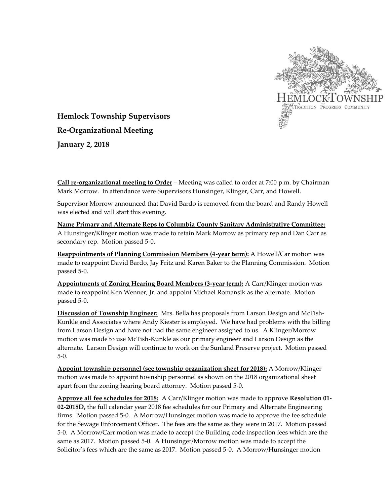

**Hemlock Township Supervisors Re-Organizational Meeting January 2, 2018**

**Call re-organizational meeting to Order** – Meeting was called to order at 7:00 p.m. by Chairman Mark Morrow. In attendance were Supervisors Hunsinger, Klinger, Carr, and Howell.

Supervisor Morrow announced that David Bardo is removed from the board and Randy Howell was elected and will start this evening.

**Name Primary and Alternate Reps to Columbia County Sanitary Administrative Committee:** A Hunsinger/Klinger motion was made to retain Mark Morrow as primary rep and Dan Carr as secondary rep. Motion passed 5-0.

**Reappointments of Planning Commission Members (4-year term):** A Howell/Car motion was made to reappoint David Bardo, Jay Fritz and Karen Baker to the Planning Commission. Motion passed 5-0.

**Appointments of Zoning Hearing Board Members (3-year term):** A Carr/Klinger motion was made to reappoint Ken Wenner, Jr. and appoint Michael Romansik as the alternate. Motion passed 5-0.

**Discussion of Township Engineer:** Mrs. Bella has proposals from Larson Design and McTish-Kunkle and Associates where Andy Kiester is employed. We have had problems with the billing from Larson Design and have not had the same engineer assigned to us. A Klinger/Morrow motion was made to use McTish-Kunkle as our primary engineer and Larson Design as the alternate. Larson Design will continue to work on the Sunland Preserve project. Motion passed 5-0.

**Appoint township personnel (see township organization sheet for 2018):** A Morrow/Klinger motion was made to appoint township personnel as shown on the 2018 organizational sheet apart from the zoning hearing board attorney. Motion passed 5-0.

**Approve all fee schedules for 2018:** A Carr/Klinger motion was made to approve **Resolution 01- 02-2018D,** the full calendar year 2018 fee schedules for our Primary and Alternate Engineering firms. Motion passed 5-0. A Morrow/Hunsinger motion was made to approve the fee schedule for the Sewage Enforcement Officer. The fees are the same as they were in 2017. Motion passed 5-0. A Morrow/Carr motion was made to accept the Building code inspection fees which are the same as 2017. Motion passed 5-0. A Hunsinger/Morrow motion was made to accept the Solicitor's fees which are the same as 2017. Motion passed 5-0. A Morrow/Hunsinger motion